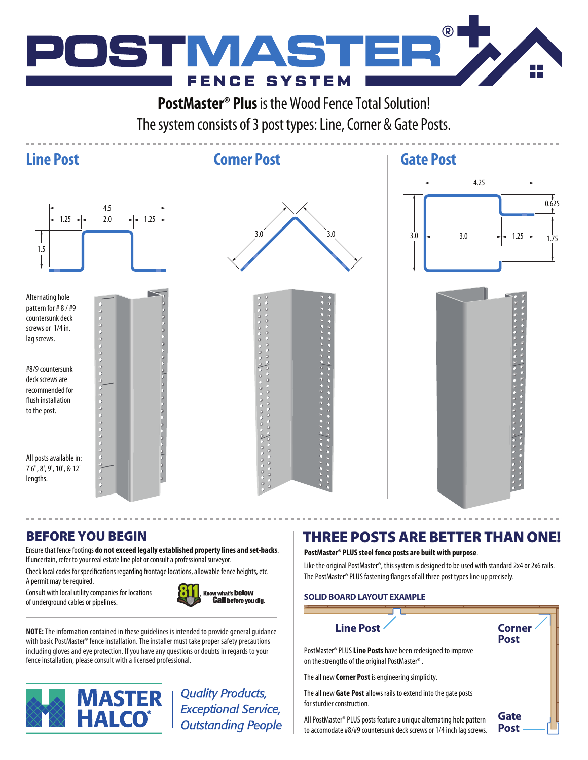

**PostMaster® Plus** is the Wood Fence Total Solution! The system consists of 3 post types: Line, Corner & Gate Posts.

## **Line Post Corner Post Gate Post**



countersunk deck screws or 1/4 in. lag screws.

#8/9 countersunk deck screws are recommended for flush installation to the post.

All posts available in: 7'6", 8', 9', 10', & 12' lengths.





Ensure that fence footings **do not exceed legally established property lines and set-backs**. If uncertain, refer to your real estate line plot or consult a professional surveyor.

Check local codes for specifications regarding frontage locations, allowable fence heights, etc. A permit may be required.

Consult with local utility companies for locations of underground cables or pipelines.



**NOTE:** The information contained in these guidelines is intended to provide general guidance with basic PostMaster® fence installation. The installer must take proper safety precautions including gloves and eye protection. If you have any questions or doubts in regards to your fence installation, please consult with a licensed professional.



**Quality Products, Exceptional Service, Outstanding People** 

# BEFORE YOU BEGIN **THREE POSTS ARE BETTER THAN ONE!**

### **PostMaster® PLUS steel fence posts are built with purpose**.

Like the original PostMaster®, this system is designed to be used with standard 2x4 or 2x6 rails. The PostMaster® PLUS fastening flanges of all three post types line up precisely.

### **SOLID BOARD LAYOUT EXAMPLE**

### **Line Post Corner Post Gate Post** PostMaster® PLUS **Line Posts** have been redesigned to improve on the strengths of the original PostMaster® . The all new **Corner Post** is engineering simplicity. The all new **Gate Post** allows rails to extend into the gate posts for sturdier construction. All PostMaster® PLUS posts feature a unique alternating hole pattern to accomodate #8/#9 countersunk deck screws or 1/4 inch lag screws.